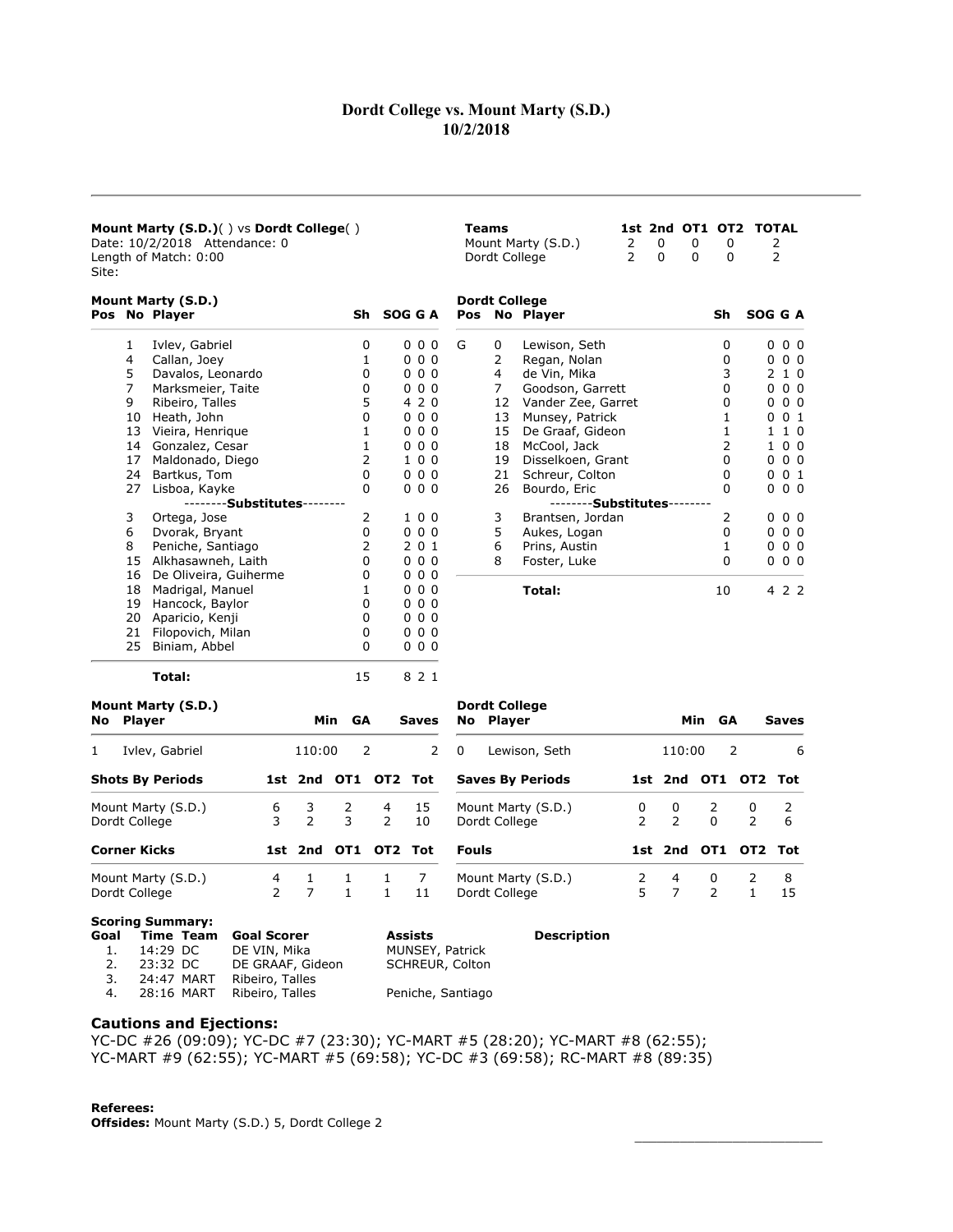# Dordt College vs. Mount Marty (S.D.) 10/2/2018

15 Alkhasawneh, Laith 0 0 0 0 16 De Oliveira, Guiherme  $\begin{array}{ccc} 0 & 0 & 0 \end{array}$ 18 Madrigal, Manuel 1 0 0 0 19 Hancock, Baylor 0 0 0 0 20 Aparicio, Kenji 0 0 0 0 21 Filopovich, Milan **0 0 0 0 0 0** 

|                                                                                          |    | <b>Mount Marty (S.D.)() vs Dordt College()</b><br>Date: 10/2/2018 Attendance: 0<br>Length of Match: 0:00 |            |         |   | <b>Teams</b>  | 1st 2nd OT1 OT2<br>$\Omega$<br>Mount Marty (S.D.)<br>2<br>2<br>$\Omega$<br>Dordt College | $\Omega$<br>$\Omega$ | $\Omega$<br>0 | <b>TOTAL</b><br>2<br>$\overline{2}$ |
|------------------------------------------------------------------------------------------|----|----------------------------------------------------------------------------------------------------------|------------|---------|---|---------------|------------------------------------------------------------------------------------------|----------------------|---------------|-------------------------------------|
|                                                                                          |    | Mount Marty (S.D.)                                                                                       |            |         |   |               | <b>Dordt College</b>                                                                     |                      |               |                                     |
| Site:<br>Pos No Player<br>4<br>5<br>7<br>9<br>10<br>13<br>14<br>17<br>24<br>27<br>3<br>6 |    |                                                                                                          | Sh SOG G A |         |   | Pos No Player |                                                                                          | Sh                   | SOG G A       |                                     |
|                                                                                          |    | Ivlev, Gabriel                                                                                           | 0          | 000     | G | 0             | Lewison, Seth                                                                            |                      | 0             | 0 <sub>0</sub><br>0                 |
|                                                                                          |    | Callan, Joey                                                                                             |            | 000     |   | 2             | Regan, Nolan                                                                             |                      | 0             | 0 <sub>0</sub><br>0                 |
|                                                                                          |    | Davalos, Leonardo                                                                                        | 0          | 000     |   | 4             | de Vin, Mika                                                                             |                      | 3             | 210                                 |
|                                                                                          |    | Marksmeier, Taite                                                                                        | 0          | 000     |   | 7             | Goodson, Garrett                                                                         |                      | 0             | 0 <sub>0</sub><br>0                 |
|                                                                                          |    | Ribeiro, Talles                                                                                          | 5          | 4 2 0   |   | 12            | Vander Zee, Garret                                                                       |                      | 0             | 0 <sub>0</sub><br>0                 |
|                                                                                          |    | Heath, John                                                                                              | 0          | 000     |   | 13            | Munsey, Patrick                                                                          |                      |               | 0 <sub>1</sub><br>0                 |
|                                                                                          |    | Vieira, Henrique                                                                                         |            | 000     |   | 15            | De Graaf, Gideon                                                                         |                      |               | 1 1 0                               |
|                                                                                          |    | Gonzalez, Cesar                                                                                          |            | 000     |   | 18            | McCool, Jack                                                                             |                      |               | 100                                 |
|                                                                                          |    | Maldonado, Diego                                                                                         | 2          | 100     |   | 19            | Disselkoen, Grant                                                                        |                      | 0             | 0 <sub>0</sub><br>0                 |
|                                                                                          |    | Bartkus, Tom                                                                                             | 0          | 000     |   | 21            | Schreur, Colton                                                                          |                      | 0             | 001                                 |
|                                                                                          |    | Lisboa, Kayke                                                                                            | 0          | 000     |   | 26            | Bourdo, Eric                                                                             |                      | 0             | $0\,0\,0$                           |
|                                                                                          |    | - <b>Substitutes</b> -                                                                                   |            |         |   |               | -Substitutes-                                                                            |                      |               |                                     |
|                                                                                          |    | Ortega, Jose                                                                                             | 2          | 100     |   | 3             | Brantsen, Jordan                                                                         |                      | 2             | 0 <sub>0</sub><br>$\Omega$          |
|                                                                                          |    | Dvorak, Bryant                                                                                           | 0          | 000     |   | 5             | Aukes, Logan                                                                             |                      | 0             | 0 <sub>0</sub><br>0                 |
|                                                                                          | 8  | Peniche, Santiago                                                                                        |            | 2 0 1   |   | 6             | Prins, Austin                                                                            |                      |               | 0 <sub>0</sub><br>0                 |
|                                                                                          | 15 | Alkhasawneh, Laith                                                                                       | 0          | 0, 0, 0 |   | 8             | Foster, Luke                                                                             |                      | 0             | 0 <sub>0</sub><br>$\Omega$          |

Total: 10 4 2 2

\_\_\_\_\_\_\_\_\_\_\_\_\_\_\_\_\_\_\_\_\_\_\_\_\_

8 Foster, Luke

| 25<br>Biniam, Abbel                       |                    |                    |                     | 0                   | 000          |                                       |                    |         |                    |                     |              |
|-------------------------------------------|--------------------|--------------------|---------------------|---------------------|--------------|---------------------------------------|--------------------|---------|--------------------|---------------------|--------------|
| Total:                                    |                    |                    | 15                  |                     | 8 2 1        |                                       |                    |         |                    |                     |              |
| Mount Marty (S.D.)<br><b>Player</b><br>No |                    | Min.               |                     | <b>GA</b>           | <b>Saves</b> | <b>Dordt College</b><br>Player<br>No. |                    |         | Min<br><b>GA</b>   |                     | <b>Saves</b> |
| Ivlev, Gabriel                            |                    | 110:00             |                     | 2                   | 2            | $\Omega$<br>Lewison, Seth             |                    | 110:00  |                    | 2                   | 6            |
| <b>Shots By Periods</b>                   |                    |                    | 1st 2nd OT1 OT2 Tot |                     |              | <b>Saves By Periods</b>               |                    |         |                    | 1st 2nd OT1 OT2     | Tot          |
| Mount Marty (S.D.)<br>Dordt College       | 6<br>3             | 3<br>$\mathcal{P}$ | 2<br>3              | 4<br>$\overline{2}$ | 15<br>10     | Mount Marty (S.D.)<br>Dordt College   | 0<br>$\mathcal{P}$ | 0<br>2  | 2<br>$\mathbf{0}$  | 0<br>$\overline{2}$ | 6            |
| <b>Corner Kicks</b>                       |                    |                    | 1st 2nd OT1         |                     | OT2 Tot      | Fouls                                 |                    | 1st 2nd | OT1                | OT2                 | Tot          |
| Mount Marty (S.D.)<br>Dordt College       | 4<br>$\mathcal{P}$ |                    | 1<br>$\mathbf{1}$   | 1<br>$\mathbf{1}$   | 11           | Mount Marty (S.D.)<br>Dordt College   | 2<br>5             | 4<br>7  | 0<br>$\mathcal{P}$ | 2                   | 8<br>15      |

#### Scoring Summary:

|    | Goal Time Team Goal Scorer |                            | <b>Assists</b>    | <b>Description</b> |
|----|----------------------------|----------------------------|-------------------|--------------------|
| 1. | 14:29 DC                   | DE VIN, Mika               | MUNSEY, Patrick   |                    |
| 2. | 23:32 DC                   | DE GRAAF, Gideon           | SCHREUR, Colton   |                    |
| 3. |                            | 24:47 MART Ribeiro, Talles |                   |                    |
| 4. |                            | 28:16 MART Ribeiro, Talles | Peniche, Santiago |                    |

## Cautions and Ejections:

YC-DC #26 (09:09); YC-DC #7 (23:30); YC-MART #5 (28:20); YC-MART #8 (62:55); YC-MART #9 (62:55); YC-MART #5 (69:58); YC-DC #3 (69:58); RC-MART #8 (89:35)

#### Referees:

Offsides: Mount Marty (S.D.) 5, Dordt College 2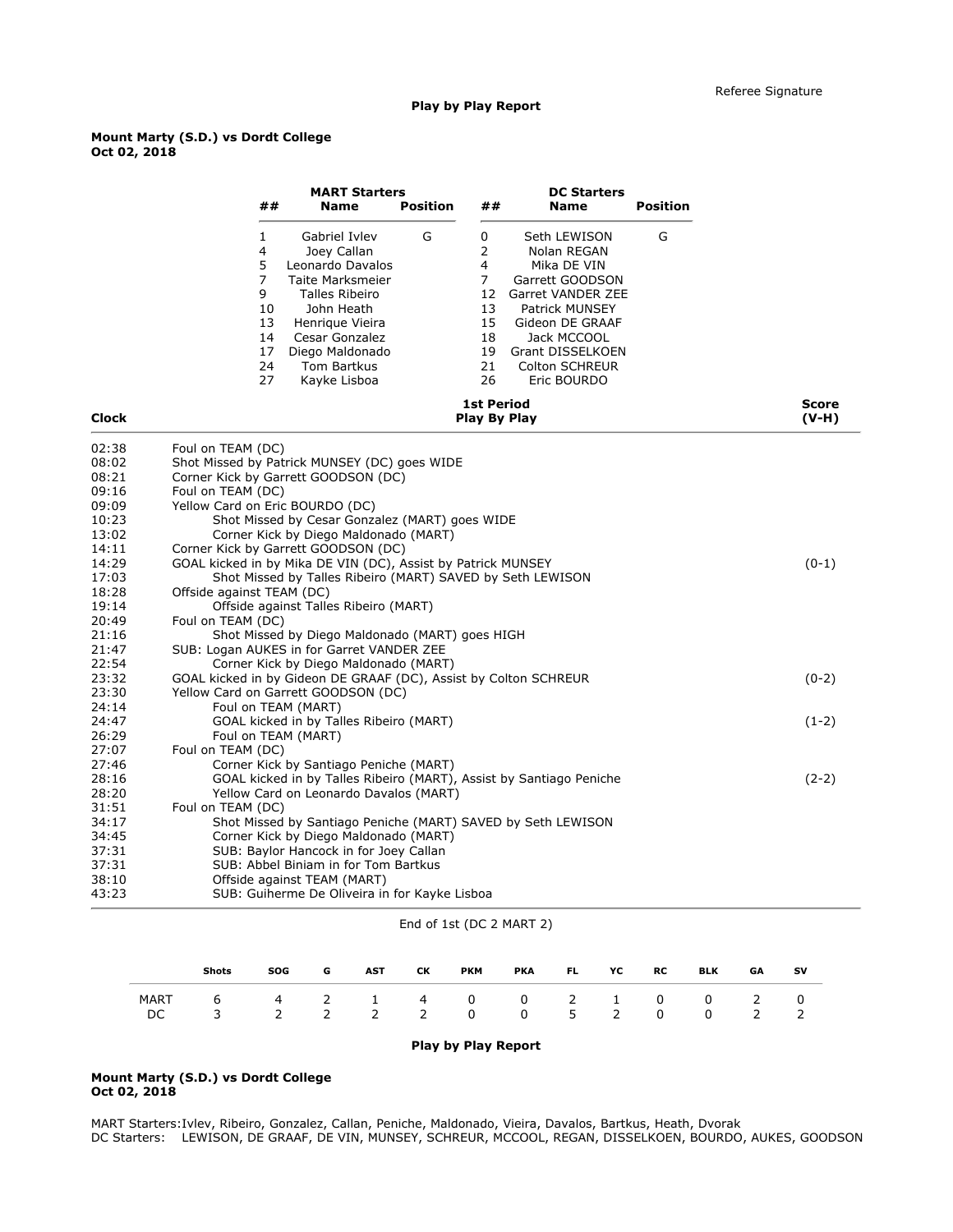### Play by Play Report

### Mount Marty (S.D.) vs Dordt College Oct 02, 2018

|                | <b>MART Starters</b><br>##<br><b>Position</b><br>##<br><b>Name</b>                                                                                                                                                                                                                                                                                               | <b>DC Starters</b><br><b>Position</b><br><b>Name</b>                                                                                                                                                    |                  |
|----------------|------------------------------------------------------------------------------------------------------------------------------------------------------------------------------------------------------------------------------------------------------------------------------------------------------------------------------------------------------------------|---------------------------------------------------------------------------------------------------------------------------------------------------------------------------------------------------------|------------------|
|                | G<br>0<br>$\mathbf{1}$<br>Gabriel Ivlev<br>2<br>4<br>Joey Callan<br>5<br>4<br>Leonardo Davalos<br>$\overline{7}$<br>$\overline{7}$<br>Taite Marksmeier<br>9<br>12<br>Talles Ribeiro<br>10<br>John Heath<br>13<br>13<br>15<br>Henrique Vieira<br>14<br>Cesar Gonzalez<br>18<br>17<br>Diego Maldonado<br>19<br>24<br>Tom Bartkus<br>21<br>27<br>26<br>Kayke Lisboa | G<br>Seth LEWISON<br>Nolan REGAN<br>Mika DE VIN<br>Garrett GOODSON<br>Garret VANDER ZEE<br><b>Patrick MUNSEY</b><br>Gideon DE GRAAF<br>Jack MCCOOL<br>Grant DISSELKOEN<br>Colton SCHREUR<br>Eric BOURDO |                  |
| <b>Clock</b>   | <b>1st Period</b><br>Play By Play                                                                                                                                                                                                                                                                                                                                |                                                                                                                                                                                                         | Score<br>$(V-H)$ |
| 02:38          | Foul on TEAM (DC)                                                                                                                                                                                                                                                                                                                                                |                                                                                                                                                                                                         |                  |
| 08:02          | Shot Missed by Patrick MUNSEY (DC) goes WIDE                                                                                                                                                                                                                                                                                                                     |                                                                                                                                                                                                         |                  |
| 08:21          | Corner Kick by Garrett GOODSON (DC)                                                                                                                                                                                                                                                                                                                              |                                                                                                                                                                                                         |                  |
| 09:16          | Foul on TEAM (DC)                                                                                                                                                                                                                                                                                                                                                |                                                                                                                                                                                                         |                  |
| 09:09          | Yellow Card on Eric BOURDO (DC)                                                                                                                                                                                                                                                                                                                                  |                                                                                                                                                                                                         |                  |
| 10:23          | Shot Missed by Cesar Gonzalez (MART) goes WIDE                                                                                                                                                                                                                                                                                                                   |                                                                                                                                                                                                         |                  |
| 13:02          | Corner Kick by Diego Maldonado (MART)                                                                                                                                                                                                                                                                                                                            |                                                                                                                                                                                                         |                  |
| 14:11          | Corner Kick by Garrett GOODSON (DC)                                                                                                                                                                                                                                                                                                                              |                                                                                                                                                                                                         |                  |
| 14:29          | GOAL kicked in by Mika DE VIN (DC), Assist by Patrick MUNSEY                                                                                                                                                                                                                                                                                                     |                                                                                                                                                                                                         | $(0-1)$          |
| 17:03          | Shot Missed by Talles Ribeiro (MART) SAVED by Seth LEWISON                                                                                                                                                                                                                                                                                                       |                                                                                                                                                                                                         |                  |
| 18:28          | Offside against TEAM (DC)                                                                                                                                                                                                                                                                                                                                        |                                                                                                                                                                                                         |                  |
| 19:14<br>20:49 | Offside against Talles Ribeiro (MART)                                                                                                                                                                                                                                                                                                                            |                                                                                                                                                                                                         |                  |
| 21:16          | Foul on TEAM (DC)<br>Shot Missed by Diego Maldonado (MART) goes HIGH                                                                                                                                                                                                                                                                                             |                                                                                                                                                                                                         |                  |
| 21:47          | SUB: Logan AUKES in for Garret VANDER ZEE                                                                                                                                                                                                                                                                                                                        |                                                                                                                                                                                                         |                  |
| 22:54          | Corner Kick by Diego Maldonado (MART)                                                                                                                                                                                                                                                                                                                            |                                                                                                                                                                                                         |                  |
| 23:32          | GOAL kicked in by Gideon DE GRAAF (DC), Assist by Colton SCHREUR                                                                                                                                                                                                                                                                                                 |                                                                                                                                                                                                         | $(0-2)$          |
| 23:30          | Yellow Card on Garrett GOODSON (DC)                                                                                                                                                                                                                                                                                                                              |                                                                                                                                                                                                         |                  |
| 24:14          | Foul on TEAM (MART)                                                                                                                                                                                                                                                                                                                                              |                                                                                                                                                                                                         |                  |
| 24:47          | GOAL kicked in by Talles Ribeiro (MART)                                                                                                                                                                                                                                                                                                                          |                                                                                                                                                                                                         | $(1-2)$          |
| 26:29          | Foul on TEAM (MART)                                                                                                                                                                                                                                                                                                                                              |                                                                                                                                                                                                         |                  |
| 27:07          | Foul on TEAM (DC)                                                                                                                                                                                                                                                                                                                                                |                                                                                                                                                                                                         |                  |
| 27:46          | Corner Kick by Santiago Peniche (MART)                                                                                                                                                                                                                                                                                                                           |                                                                                                                                                                                                         |                  |
| 28:16          | GOAL kicked in by Talles Ribeiro (MART), Assist by Santiago Peniche                                                                                                                                                                                                                                                                                              |                                                                                                                                                                                                         | $(2-2)$          |
| 28:20          | Yellow Card on Leonardo Davalos (MART)                                                                                                                                                                                                                                                                                                                           |                                                                                                                                                                                                         |                  |
| 31:51          | Foul on TEAM (DC)                                                                                                                                                                                                                                                                                                                                                |                                                                                                                                                                                                         |                  |
| 34:17          | Shot Missed by Santiago Peniche (MART) SAVED by Seth LEWISON                                                                                                                                                                                                                                                                                                     |                                                                                                                                                                                                         |                  |
| 34:45          | Corner Kick by Diego Maldonado (MART)                                                                                                                                                                                                                                                                                                                            |                                                                                                                                                                                                         |                  |
| 37:31          | SUB: Baylor Hancock in for Joey Callan                                                                                                                                                                                                                                                                                                                           |                                                                                                                                                                                                         |                  |
| 37:31          | SUB: Abbel Biniam in for Tom Bartkus                                                                                                                                                                                                                                                                                                                             |                                                                                                                                                                                                         |                  |
| 38:10          | Offside against TEAM (MART)                                                                                                                                                                                                                                                                                                                                      |                                                                                                                                                                                                         |                  |
| 43:23          | SUB: Guiherme De Oliveira in for Kayke Lisboa                                                                                                                                                                                                                                                                                                                    |                                                                                                                                                                                                         |                  |

# End of 1st (DC 2 MART 2)

|                    | <b>Shots</b> | SOG                        | G            | <b>AST</b> | CК  | <b>PKM</b>     | <b>PKA</b> | FL .        | YC             | <b>RC</b> | <b>BLK</b> | <b>GA</b> | sv |
|--------------------|--------------|----------------------------|--------------|------------|-----|----------------|------------|-------------|----------------|-----------|------------|-----------|----|
| <b>MART</b><br>DC. | 6            | 4 2 1 4 0 0 2 1 0 0 2<br>2 | $\mathbf{2}$ |            | 2 2 | $\overline{0}$ |            | $0\qquad 5$ | $\overline{2}$ | 0         |            |           |    |

### Play by Play Report

## Mount Marty (S.D.) vs Dordt College Oct 02, 2018

MART Starters:Ivlev, Ribeiro, Gonzalez, Callan, Peniche, Maldonado, Vieira, Davalos, Bartkus, Heath, Dvorak DC Starters: LEWISON, DE GRAAF, DE VIN, MUNSEY, SCHREUR, MCCOOL, REGAN, DISSELKOEN, BOURDO, AUKES, GOODSON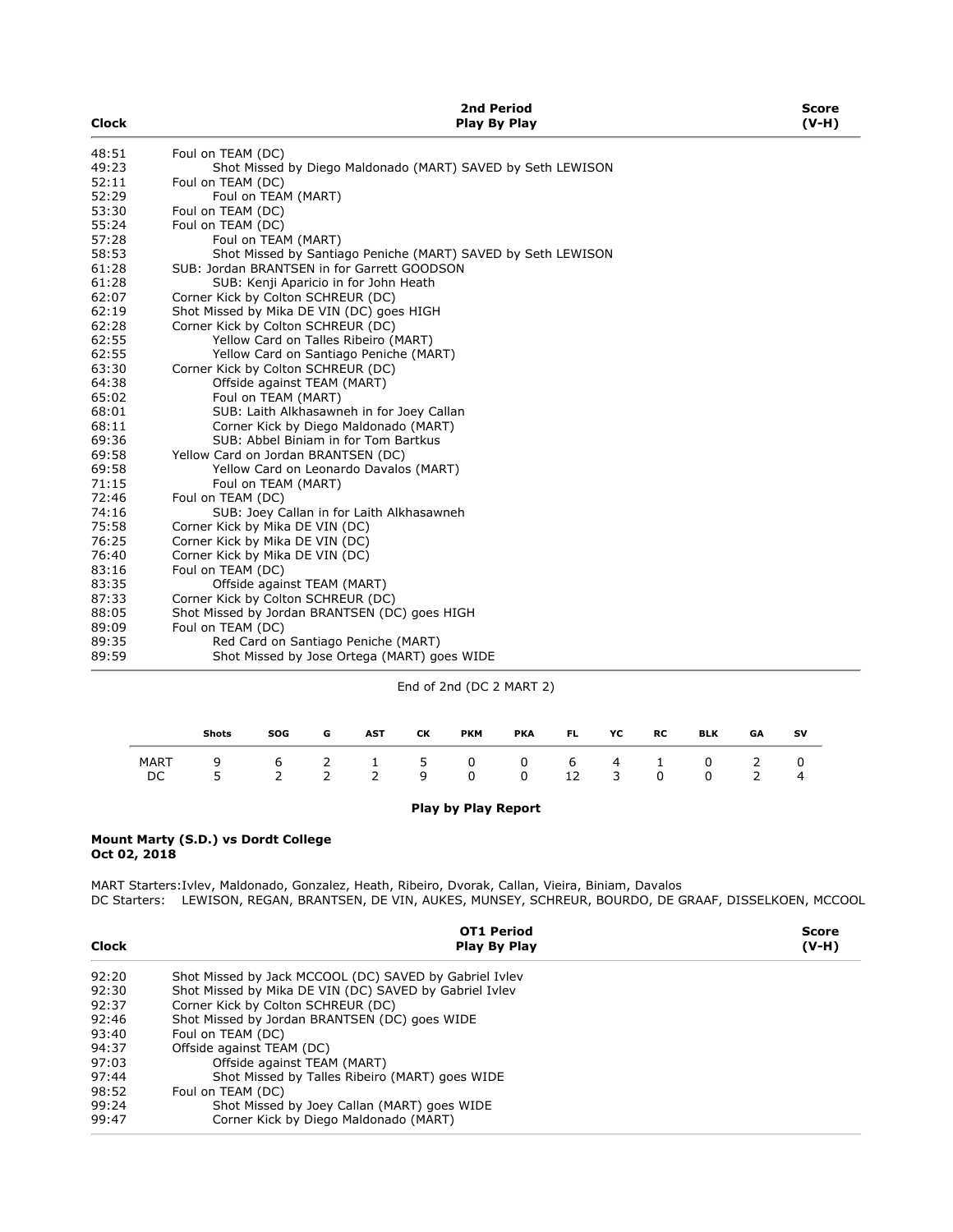| <b>Clock</b> | 2nd Period<br><b>Play By Play</b>                            | Score<br>$(V-H)$ |
|--------------|--------------------------------------------------------------|------------------|
| 48:51        | Foul on TEAM (DC)                                            |                  |
| 49:23        | Shot Missed by Diego Maldonado (MART) SAVED by Seth LEWISON  |                  |
| 52:11        | Foul on TEAM (DC)                                            |                  |
| 52:29        | Foul on TEAM (MART)                                          |                  |
| 53:30        | Foul on TEAM (DC)                                            |                  |
| 55:24        | Foul on TEAM (DC)                                            |                  |
| 57:28        | Foul on TEAM (MART)                                          |                  |
| 58:53        | Shot Missed by Santiago Peniche (MART) SAVED by Seth LEWISON |                  |
| 61:28        | SUB: Jordan BRANTSEN in for Garrett GOODSON                  |                  |
| 61:28        | SUB: Kenji Aparicio in for John Heath                        |                  |
| 62:07        | Corner Kick by Colton SCHREUR (DC)                           |                  |
| 62:19        | Shot Missed by Mika DE VIN (DC) goes HIGH                    |                  |
| 62:28        | Corner Kick by Colton SCHREUR (DC)                           |                  |
| 62:55        | Yellow Card on Talles Ribeiro (MART)                         |                  |
| 62:55        | Yellow Card on Santiago Peniche (MART)                       |                  |
| 63:30        | Corner Kick by Colton SCHREUR (DC)                           |                  |
| 64:38        | Offside against TEAM (MART)                                  |                  |
| 65:02        | Foul on TEAM (MART)                                          |                  |
| 68:01        | SUB: Laith Alkhasawneh in for Joey Callan                    |                  |
| 68:11        | Corner Kick by Diego Maldonado (MART)                        |                  |
| 69:36        | SUB: Abbel Biniam in for Tom Bartkus                         |                  |
| 69:58        | Yellow Card on Jordan BRANTSEN (DC)                          |                  |
| 69:58        | Yellow Card on Leonardo Davalos (MART)                       |                  |
| 71:15        | Foul on TEAM (MART)                                          |                  |
| 72:46        | Foul on TEAM (DC)                                            |                  |
| 74:16        | SUB: Joey Callan in for Laith Alkhasawneh                    |                  |
| 75:58        | Corner Kick by Mika DE VIN (DC)                              |                  |
| 76:25        | Corner Kick by Mika DE VIN (DC)                              |                  |
| 76:40        | Corner Kick by Mika DE VIN (DC)                              |                  |
| 83:16        | Foul on TEAM (DC)                                            |                  |
| 83:35        | Offside against TEAM (MART)                                  |                  |
| 87:33        | Corner Kick by Colton SCHREUR (DC)                           |                  |
| 88:05        | Shot Missed by Jordan BRANTSEN (DC) goes HIGH                |                  |
| 89:09        | Foul on TEAM (DC)                                            |                  |
| 89:35        | Red Card on Santiago Peniche (MART)                          |                  |
| 89:59        | Shot Missed by Jose Ortega (MART) goes WIDE                  |                  |

End of 2nd (DC 2 MART 2)

|    | <b>Shots</b>                      | <b>SOG</b> | G | <b>AST</b> | CК | <b>PKM</b>       | <b>PKA</b> | <b>FL</b> | YC | <b>RC</b>      | <b>BLK</b> | GA           | SV |
|----|-----------------------------------|------------|---|------------|----|------------------|------------|-----------|----|----------------|------------|--------------|----|
| DC | MART 9 6 2 1 5 0 0 6 4 1 0 2<br>5 |            |   |            |    | 2 2 2 9 0 0 12 3 |            |           |    | $\overline{0}$ | 0          | <sup>2</sup> |    |

# Play by Play Report

#### Mount Marty (S.D.) vs Dordt College Oct 02, 2018

MART Starters:Ivlev, Maldonado, Gonzalez, Heath, Ribeiro, Dvorak, Callan, Vieira, Biniam, Davalos DC Starters: LEWISON, REGAN, BRANTSEN, DE VIN, AUKES, MUNSEY, SCHREUR, BOURDO, DE GRAAF, DISSELKOEN, MCCOOL

|              | <b>OT1 Period</b>                                      | Score   |
|--------------|--------------------------------------------------------|---------|
| <b>Clock</b> | Play By Play                                           | $(V-H)$ |
| 92:20        | Shot Missed by Jack MCCOOL (DC) SAVED by Gabriel Ivley |         |
| 92:30        | Shot Missed by Mika DE VIN (DC) SAVED by Gabriel Ivley |         |
| 92:37        | Corner Kick by Colton SCHREUR (DC)                     |         |
| 92:46        | Shot Missed by Jordan BRANTSEN (DC) goes WIDE          |         |
| 93:40        | Foul on TEAM (DC)                                      |         |
| 94:37        | Offside against TEAM (DC)                              |         |
| 97:03        | Offside against TEAM (MART)                            |         |
| 97:44        | Shot Missed by Talles Ribeiro (MART) goes WIDE         |         |
| 98:52        | Foul on TEAM (DC)                                      |         |
| 99:24        | Shot Missed by Joey Callan (MART) goes WIDE            |         |
| 99:47        | Corner Kick by Diego Maldonado (MART)                  |         |